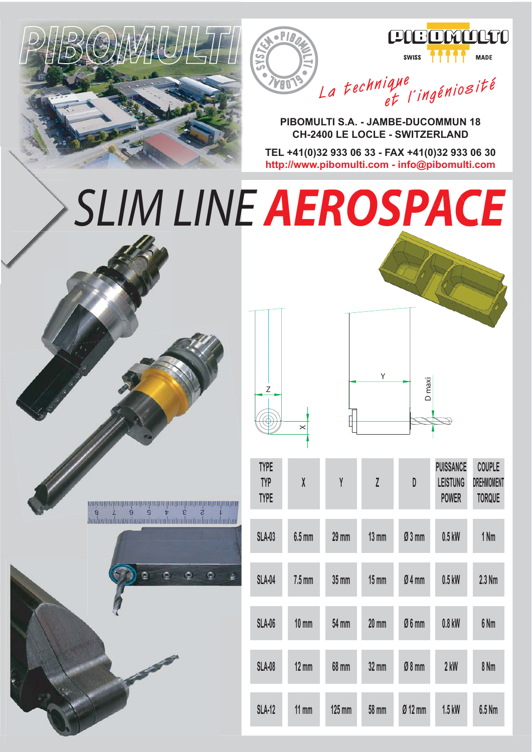





**PIBOMULTI S.A. - JAMBE-DUCOMMUN 18 CH-2400 LE LOCLE - SWITZERLAND**

**TEL +41(0)32 933 06 33 - FAX +41(0)32 933 06 30 http://www.pibomulti.com - info@pibomulti.com**

## *SLIM LINE AEROSPACE*

 $\bullet$ PIA

**VAN** 





| <b>TYPE</b><br><b>TYP</b><br><b>TYPE</b> | $\chi$          | Y               | $\overline{L}$  | D         | <b>PUISSANCE</b><br><b>LEISTUNG</b><br><b>POWER</b> | <b>COUPLE</b><br><b>DREHMOMENT</b><br><b>TORQUE</b> |
|------------------------------------------|-----------------|-----------------|-----------------|-----------|-----------------------------------------------------|-----------------------------------------------------|
| <b>SLA-03</b>                            | $6.5$ mm        | $29 \text{ mm}$ | $13 \text{ mm}$ | Ø3mm      | $0.5$ kW                                            | 1 Nm                                                |
| <b>SLA-04</b>                            | $7.5$ mm        | $35 \text{ mm}$ | $15 \text{ mm}$ | Ø4mm      | $0.5$ kW                                            | $2.3$ Nm                                            |
| <b>SLA-06</b>                            | $10 \text{ mm}$ | 54 mm           | $20 \text{ mm}$ | Ø6mm      | $0.8$ kW                                            | 6 <sub>Nm</sub>                                     |
| <b>SLA-08</b>                            | $12 \text{ mm}$ | <b>68 mm</b>    | $32 \text{ mm}$ | $Ø8$ mm   | $2$ kW                                              | 8 Nm                                                |
| <b>SLA-12</b>                            | $11 \text{ mm}$ | $125$ mm        | 58 mm           | $Ø$ 12 mm | $1.5$ kW                                            | $6.5$ Nm                                            |

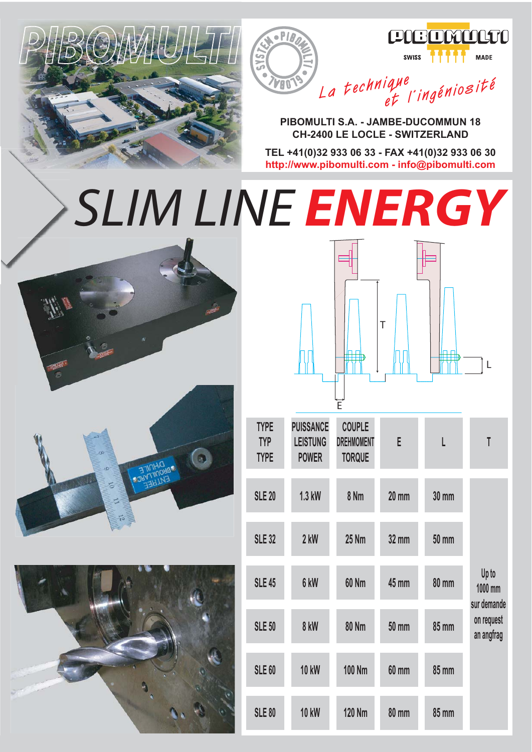





**La technique et l'ingéniosité**

**PIBOMULTI S.A. - JAMBE-DUCOMMUN 18 CH-2400 LE LOCLE - SWITZERLAND**

**TEL +41(0)32 933 06 33 - FAX +41(0)32 933 06 30 http://www.pibomulti.com - info@pibomulti.com**

## *SLIM LINE ENERGY*